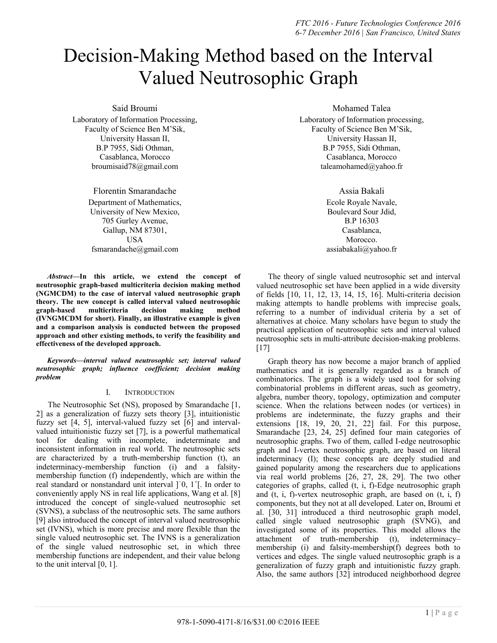# Decision-Making Method based on the Interval Valued Neutrosophic Graph

Said Broumi

Laboratory of Information Processing, Faculty of Science Ben M'Sik, University Hassan II, B.P 7955, Sidi Othman, Casablanca, Morocco [broumisaid78@gmail.com](mailto:1broumisaid78@gmail.com)

> Florentin Smarandache Department of Mathematics, University of New Mexico, 705 Gurley Avenue, Gallup, NM 87301, USA [fsmarandache@gmail.com](mailto:fsmarandache@gmail.com)

*Abstract***—In this article, we extend the concept of neutrosophic graph-based multicriteria decision making method (NGMCDM) to the case of interval valued neutrosophic graph theory. The new concept is called interval valued neutrosophic graph-based multicriteria decision making method (IVNGMCDM for short). Finally, an illustrative example is given and a comparison analysis is conducted between the proposed approach and other existing methods, to verify the feasibility and effectiveness of the developed approach.**

*Keywords—interval valued neutrosophic set; interval valued neutrosophic graph; influence coefficient; decision making problem* 

# I. INTRODUCTION

The Neutrosophic Set (NS), proposed by Smarandache [1, 2] as a generalization of fuzzy sets theory [3], intuitionistic fuzzy set [4, 5], interval-valued fuzzy set [6] and intervalvalued intuitionistic fuzzy set [7], is a powerful mathematical tool for dealing with incomplete, indeterminate and inconsistent information in real world. The neutrosophic sets are characterized by a truth-membership function (t), an indeterminacy-membership function (i) and a falsitymembership function (f) independently, which are within the real standard or nonstandard unit interval ]<sup>-</sup>0, 1<sup>+</sup>[. In order to conveniently apply NS in real life applications, Wang et al. [8] introduced the concept of single-valued neutrosophic set (SVNS), a subclass of the neutrosophic sets. The same authors [9] also introduced the concept of interval valued neutrosophic set (IVNS), which is more precise and more flexible than the single valued neutrosophic set. The IVNS is a generalization of the single valued neutrosophic set, in which three membership functions are independent, and their value belong to the unit interval [0, 1].

Mohamed Talea

Laboratory of Information processing, Faculty of Science Ben M'Sik, University Hassan II, B.P 7955, Sidi Othman, Casablanca, Morocco [taleamohamed@yahoo.fr](mailto:taleamohamed@yahoo.fr)

# Assia Bakali

Ecole Royale Navale, Boulevard Sour Jdid, B.P 16303 Casablanca, Morocco. assiabakali@yahoo.fr

The theory of single valued neutrosophic set and interval valued neutrosophic set have been applied in a wide diversity of fields [10, 11, 12, 13, 14, 15, 16]. Multi-criteria decision making attempts to handle problems with imprecise goals, referring to a number of individual criteria by a set of alternatives at choice. Many scholars have begun to study the practical application of neutrosophic sets and interval valued neutrosophic sets in multi-attribute decision-making problems. [17]

Graph theory has now become a major branch of applied mathematics and it is generally regarded as a branch of combinatorics. The graph is a widely used tool for solving combinatorial problems in different areas, such as geometry, algebra, number theory, topology, optimization and computer science. When the relations between nodes (or vertices) in problems are indeterminate, the fuzzy graphs and their extensions [18, 19, 20, 21, 22] fail. For this purpose, Smarandache [23, 24, 25] defined four main categories of neutrosophic graphs. Two of them, called I-edge neutrosophic graph and I-vertex neutrosophic graph, are based on literal indeterminacy (I); these concepts are deeply studied and gained popularity among the researchers due to applications via real world problems [26, 27, 28, 29]. The two other categories of graphs, called (t, i, f)-Edge neutrosophic graph and (t, i, f)-vertex neutrosophic graph, are based on (t, i, f) components, but they not at all developed. Later on, Broumi et al. [30, 31] introduced a third neutrosophic graph model, called single valued neutrosophic graph (SVNG), and investigated some of its properties. This model allows the attachment of truth-membership (t), indeterminacy– membership (i) and falsity-membership(f) degrees both to vertices and edges. The single valued neutrosophic graph is a generalization of fuzzy graph and intuitionistic fuzzy graph. Also, the same authors [32] introduced neighborhood degree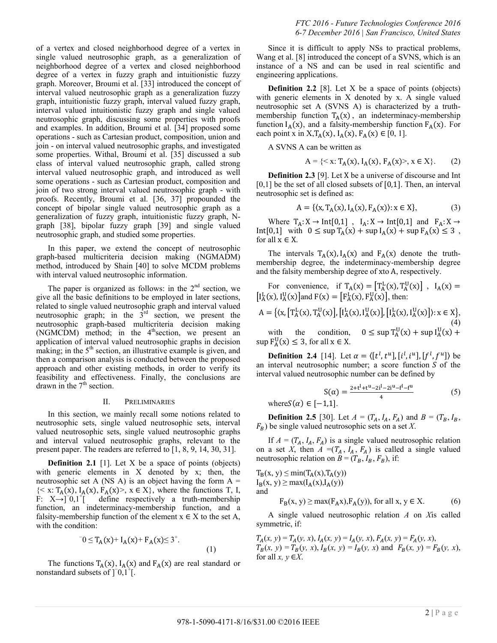of a vertex and closed neighborhood degree of a vertex in single valued neutrosophic graph, as a generalization of neighborhood degree of a vertex and closed neighborhood degree of a vertex in fuzzy graph and intuitionistic fuzzy graph. Moreover, Broumi et al. [33] introduced the concept of interval valued neutrosophic graph as a generalization fuzzy graph, intuitionistic fuzzy graph, interval valued fuzzy graph, interval valued intuitionistic fuzzy graph and single valued neutrosophic graph, discussing some properties with proofs and examples. In addition, Broumi et al. [34] proposed some operations - such as Cartesian product, composition, union and join - on interval valued neutrosophic graphs, and investigated some properties. Withal, Broumi et al. [35] discussed a sub class of interval valued neutrosophic graph, called strong interval valued neutrosophic graph, and introduced as well some operations - such as Cartesian product, composition and join of two strong interval valued neutrosophic graph - with proofs. Recently, Broumi et al. [36, 37] propounded the concept of bipolar single valued neutrosophic graph as a generalization of fuzzy graph, intuitionistic fuzzy graph, Ngraph [38], bipolar fuzzy graph [39] and single valued neutrosophic graph, and studied some properties.

In this paper, we extend the concept of neutrosophic graph-based multicriteria decision making (NGMADM) method, introduced by Shain [40] to solve MCDM problems with interval valued neutrosophic information.

The paper is organized as follows: in the  $2<sup>nd</sup>$  section, we give all the basic definitions to be employed in later sections, related to single valued neutrosophic graph and interval valued neutrosophic graph; in the  $3<sup>rd</sup>$  section, we present the neutrosophic graph-based multicriteria decision making (NGMCDM) method; in the  $4^{\text{th}}$  section, we present an application of interval valued neutrosophic graphs in decision making; in the  $5<sup>th</sup>$  section, an illustrative example is given, and then a comparison analysis is conducted between the proposed approach and other existing methods, in order to verify its feasibility and effectiveness. Finally, the conclusions are drawn in the  $7<sup>th</sup>$  section.

#### II. PRELIMINARIES

In this section, we mainly recall some notions related to neutrosophic sets, single valued neutrosophic sets, interval valued neutrosophic sets, single valued neutrosophic graphs and interval valued neutrosophic graphs, relevant to the present paper. The readers are referred to [1, 8, 9, 14, 30, 31].

**Definition 2.1** [1]. Let X be a space of points (objects) with generic elements in X denoted by x; then, the neutrosophic set A (NS A) is an object having the form  $A =$  $\{<\mathbf{x}:\mathbf{T}_{A}(\mathbf{x}), \mathbf{I}_{A}(\mathbf{x}), \mathbf{F}_{A}(\mathbf{x})\}$ ,  $\mathbf{x} \in \mathbf{X}\}$ , where the functions T, I,  $\vec{F}$ : X→ $\vec{J}$ =0,1<sup>+</sup> define respectively a truth-membership function, an indeterminacy-membership function, and a falsity-membership function of the element  $x \in X$  to the set A, with the condition:

$$
T_0 \le T_A(x) + I_A(x) + F_A(x) \le 3^+.
$$
\n(1)

The functions  $T_A(x)$ ,  $I_A(x)$  and  $F_A(x)$  are real standard or nonstandard subsets of  $]$ <sup>-</sup>0,1<sup>+</sup>[.

Since it is difficult to apply NSs to practical problems, Wang et al. [8] introduced the concept of a SVNS, which is an instance of a NS and can be used in real scientific and engineering applications.

**Definition 2.2** [8]. Let X be a space of points (objects) with generic elements in X denoted by x. A single valued neutrosophic set A (SVNS A) is characterized by a truthmembership function  $T_A(x)$ , an indeterminacy-membership function  $I_A(x)$ , and a falsity-membership function  $F_A(x)$ . For each point x in X,  $T_A(x)$ ,  $I_A(x)$ ,  $F_A(x) \in [0, 1]$ .

A SVNS A can be written as

$$
A = \{ \langle x: T_A(x), I_A(x), F_A(x) \rangle, x \in X \}. \tag{2}
$$

**Definition 2.3** [9]. Let X be a universe of discourse and Int  $[0,1]$  be the set of all closed subsets of  $[0,1]$ . Then, an interval neutrosophic set is defined as:

$$
A = \{ (x, T_A(x), I_A(x), F_A(x)) : x \in X \},
$$
 (3)

Where  $T_A: X \to \text{Int}[0,1]$ ,  $I_A: X \to \text{Int}[0,1]$  and  $F_A: X \to$ Int[0,1] with  $0 \leq \sup T_A(x) + \sup I_A(x) + \sup F_A(x) \leq 3$ , for all  $x \in X$ .

The intervals  $T_A(x)$ ,  $I_A(x)$  and  $F_A(x)$  denote the truthmembership degree, the indeterminacy-membership degree and the falsity membership degree of xto A, respectively.

For convenience, if  $T_A(x) = [T_A^L(x), T_A^U(x)]$ ,  $I_A(x)$  $[I_A^L(x), I_A^U(x)]$  and  $F(x) = [F_A^L(x), F_A^U(x)]$ , then:

$$
A = \{ \langle x, [T_A^L(x), T_A^U(x)], [I_A^L(x), I_A^U(x)], [I_A^L(x), I_A^U(x)] \rangle : x \in X \},
$$
\n(4)

with the condition,  $U(r) \perp$  cun  $I^{\text{U}}$  $\sup F_A^U(x) \leq 3$ , for all  $x \in X$ .

**Definition 2.4** [14]. Let  $\alpha = \langle [t^l, t^u], [i^l, i^u], [f^l, f^u] \rangle$  be an interval neutrosophic number; a score function  $S$  of the interval valued neutrosophic number can be defined by

$$
S(\alpha) = \frac{2+t^1+t^u-2i^1-2i^u-f^1-f^u}{4}
$$
 (5)  
where $S(\alpha) \in [-1,1]$ .

**Definition 2.5** [30]. Let  $A = (T_A, I_A, F_A)$  and  $B = (T_B, I_B,$  $F_B$ ) be single valued neutrosophic sets on a set *X*.

If  $A = (T_A, I_A, F_A)$  is a single valued neutrosophic relation on a set *X*, then  $A = (T_A, I_A, F_A)$  is called a single valued neutrosophic relation on  $B = (T_B, I_B, F_B)$ , if:

 $T_B(x, y) \leq min(T_A(x), T_A(y))$  $I_B(x, y) \ge \max(I_A(x), I_A(y))$ and

$$
F_B(x, y) \ge \max(F_A x), F_A(y)), \text{ for all } x, y \in X. \tag{6}
$$

A single valued neutrosophic relation *A* on *X*is called symmetric, if:

 $T_A(x, y) = T_A(y, x), I_A(x, y) = I_A(y, x), F_A(x, y) = F_A(y, x),$  $T_B(x, y) = T_B(y, x), I_B(x, y) = I_B(y, x)$  and  $F_B(x, y) = F_B(y, x),$ for all  $x, y \in X$ .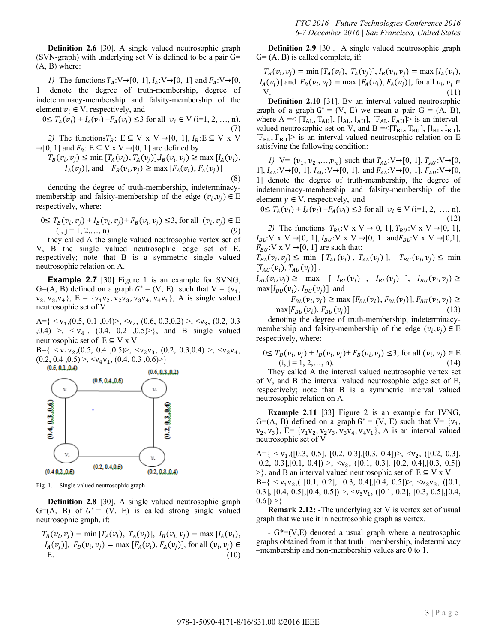**Definition 2.6** [30]. A single valued neutrosophic graph (SVN-graph) with underlying set V is defined to be a pair  $G=$  $(A, B)$  where:

*1*) The functions  $T_A: V \rightarrow [0, 1], I_A: V \rightarrow [0, 1]$  and  $F_A: V \rightarrow [0, 1]$ 1] denote the degree of truth-membership, degree of indeterminacy-membership and falsity-membership of the element  $v_i \in V$ , respectively, and

$$
0 \le T_A(v_i) + I_A(v_i) + F_A(v_i) \le 3 \text{ for all } v_i \in V \text{ (i=1, 2, ..., n).}
$$
\n(7)

2) The functions  $T_B: E \subseteq V \times V \rightarrow [0, 1], I_B: E \subseteq V \times V$  $\rightarrow$ [0, 1] and  $F_B$ : E  $\subseteq$  V x V  $\rightarrow$  [0, 1] are defined by

$$
T_B(v_i, v_j) \le \min [T_A(v_i), T_A(v_j)], I_B(v_i, v_j) \ge \max [I_A(v_i), I_A(v_j)], \text{ and } F_B(v_i, v_j) \ge \max [F_A(v_i), F_A(v_j)]
$$
\n(8)

denoting the degree of truth-membership, indeterminacymembership and falsity-membership of the edge  $(v_i, v_j) \in E$ respectively, where:

$$
0 \le T_B(v_i, v_j) + I_B(v_i, v_j) + F_B(v_i, v_j) \le 3, \text{ for all } (v_i, v_j) \in E (i, j = 1, 2, ..., n)
$$
 (9)

they called A the single valued neutrosophic vertex set of V, B the single valued neutrosophic edge set of E, respectively; note that B is a symmetric single valued neutrosophic relation on A.

**Example 2.7** [30] Figure 1 is an example for SVNG, G=(A, B) defined on a graph  $G^* = (V, E)$  such that  $V = \{v_1,$  $(v_2, v_3, v_4)$ ,  $E = \{v_1v_2, v_2v_3, v_3v_4, v_4v_1\}$ , A is single valued neutrosophic set of V

A={ < ,(0.5, 0.1 ,0.4)>, < , (0.6, 0.3,0.2) >, < , (0.2, 0.3  $(0.4)$  >,  $\lt v_4$ ,  $(0.4, 0.2, 0.5)$ }, and B single valued neutrosophic set of  $E \subseteq V \times V$ 

 $B = \{ \langle v_1 v_2, (0.5, 0.4, 0.5) \rangle, \langle v_2 v_3, (0.2, 0.3, 0.4) \rangle, \langle v_3 v_4, (0.5, 0.4, 0.5) \rangle, \langle v_4 v_3, (0.2, 0.3, 0.4) \rangle, \langle v_5 v_4, (0.5, 0.4, 0.5) \rangle, \langle v_6 v_5, (0.5, 0.4, 0.5) \rangle, \langle v_7 v_6, (0.5, 0.4, 0.5) \rangle, \langle v_8 v_7, (0.5, 0.4, 0.5) \rangle,$  $(0.2, 0.4, 0.5)$  >,  $\langle v_4 v_1, (0.4, 0.3, 0.6)$  > }



Fig. 1. Single valued neutrosophic graph

**Definition 2.8** [30]. A single valued neutrosophic graph G=(A, B) of  $G^* = (V, E)$  is called strong single valued neutrosophic graph, if:

 $T_B(v_i, v_i) = \min [ T_A(v_i), T_A(v_i) ], I_B(v_i, v_i) = \max [ I_A(v_i),$  $I_A(v_i)$ ],  $F_B(v_i, v_i) = \max [F_A(v_i), F_A(v_i)]$ , for all  $(v_i, v_i)$ E.  $(10)$ 

**Definition 2.9** [30]. A single valued neutrosophic graph  $G = (A, B)$  is called complete, if:

$$
T_B(v_i, v_j) = \min [T_A(v_i), T_A(v_j)], I_B(v_i, v_j) = \max [I_A(v_i), I_A(v_j)]
$$
 and  $F_B(v_i, v_j) = \max [F_A(v_i), F_A(v_j)],$  for all  $v_i, v_j \in V$ . (11)

**Definition 2.10** [31]. By an interval-valued neutrosophic graph of a graph  $G^* = (V, E)$  we mean a pair  $G = (A, B)$ , where  $A \equiv \{T_{AL}, T_{AU}\}$ , [I<sub>AL</sub>, I<sub>AU</sub>], [F<sub>AL</sub>, F<sub>AU</sub>] $>$  is an intervalvalued neutrosophic set on V, and  $B = \langle [T_{BL}, T_{BU}], [I_{BL}, I_{BU}],$  $[F_{BL}, F_{BU}]$  is an interval-valued neutrosophic relation on E satisfying the following condition:

*1*) V= { $v_1, v_2, ..., v_n$ } such that  $T_{AL}: V \rightarrow [0, 1], T_{AU}: V \rightarrow [0, 1]$ 1],  $I_{AL}: V \rightarrow [0, 1]$ ,  $I_{AU}: V \rightarrow [0, 1]$ , and  $F_{AL}: V \rightarrow [0, 1]$ ,  $F_{AU}: V \rightarrow [0, 1]$ 1] denote the degree of truth-membership, the degree of indeterminacy-membership and falsity-membership of the element  $y \in V$ , respectively, and

 $0 \leq T_A(v_i) + I_A(v_i) + F_A(v_i) \leq 3$  for all  $v_i \in V$  (i=1, 2, ..., n).  $(12)$ 

2) The functions  $T_{BL}$ : V x V  $\rightarrow$  [0, 1],  $T_{BU}$ : V x V  $\rightarrow$  [0, 1],  $I_{BL}: V \times V \rightarrow [0, 1], I_{BU}: V \times V \rightarrow [0, 1]$  and  $F_{BL}: V \times V \rightarrow [0, 1],$  $F_{BU}: V \times V \rightarrow [0, 1]$  are such that:

 $T_{BL}(v_i, v_i) \leq \min \left[ T_{AL}(v_i) , T_{AL}(v_i) \right], T_{BU}(v_i, v_i) \leq \min$  $[T_{AU}(v_i), T_{AU}(v_i)]$ ,

 $I_{BL}(v_i, v_i) \geq \max$  [  $I_{BL}(v_i)$  ,  $I_{BL}(v_i)$  ],  $I_{BU}(v_i)$  $\max[I_{BU}(v_i), I_{BU}(v_i)]$  and

$$
F_{BL}(v_i, v_j) \ge \max [F_{BL}(v_i), F_{BL}(v_j)], F_{BU}(v_i, v_j) \ge \max [F_{BU}(v_i), F_{BU}(v_j)]
$$
\n(13)

denoting the degree of truth-membership, indeterminacymembership and falsity-membership of the edge  $(v_i, v_j) \in E$ respectively, where:

$$
0 \le T_B(v_i, v_j) + I_B(v_i, v_j) + F_B(v_i, v_j) \le 3, \text{ for all } (v_i, v_j) \in E (i, j = 1, 2, ..., n).
$$
 (14)

They called A the interval valued neutrosophic vertex set of V, and B the interval valued neutrosophic edge set of E, respectively; note that B is a symmetric interval valued neutrosophic relation on A.

**Example 2.11** [33] Figure 2 is an example for IVNG, G=(A, B) defined on a graph  $G^* = (V, E)$  such that  $V = \{v_1,$  $\{v_2, v_3\}$ ,  $E = \{v_1v_2, v_2v_3, v_3v_4, v_4v_1\}$ , A is an interval valued neutrosophic set of V

 $A = \{ \langle v_1, (0.3, 0.5], [0.2, 0.3], [0.3, 0.4] \rangle, \langle v_2, (0.2, 0.3],$  $[0.2, 0.3], [0.1, 0.4]) > \langle v_3, ([0.1, 0.3], [0.2, 0.4], [0.3, 0.5])$  $\geq$ }, and B an interval valued neutrosophic set of E  $\subseteq$  V x V  $B = \{ \langle v_1 v_2, (10.1, 0.2], [0.3, 0.4], [0.4, 0.5] \rangle, \langle v_2 v_3, (10.1, 0.5), \rangle \}$ 0.3], [0.4, 0.5], [0.4, 0.5]) >,  $\langle v_3 v_1, ([0.1, 0.2], [0.3, 0.5], [0.4,$  $0.6$ ]) >}

**Remark 2.12:** -The underlying set V is vertex set of usual graph that we use it in neutrosophic graph as vertex.

-  $G^*=(V,E)$  denoted a usual graph where a neutrosophic graphs obtained from it that truth –membership, indeterminacy –membership and non-membership values are 0 to 1.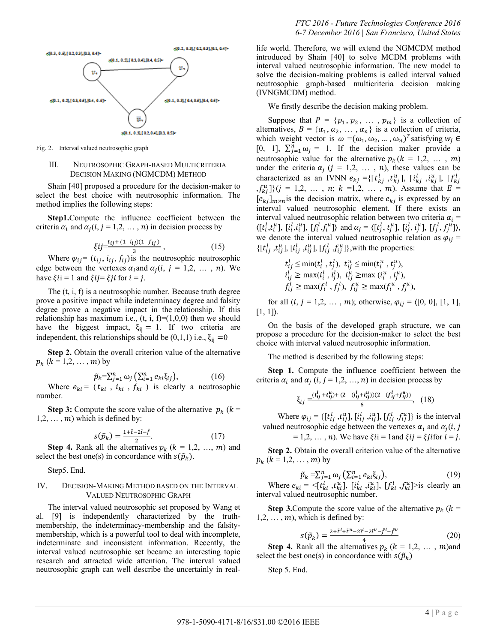

Fig. 2. Interval valued neutrosophic graph

# III. NEUTROSOPHIC GRAPH-BASED MULTICRITERIA DECISION MAKING (NGMCDM) METHOD

Shain [40] proposed a procedure for the decision-maker to select the best choice with neutrosophic information. The method implies the following steps:

**Step1.**Compute the influence coefficient between the criteria  $\alpha_i$  and  $\alpha_i$  (i, j = 1,2, ..., n) in decision process by

$$
\xi ij = \frac{t_{ij} + (1 - i_{ij})(1 - f_{ij})}{3},\tag{15}
$$

Where  $\varphi_{ij} = (t_{ij}, i_{ij}, f_{ij})$  is the neutrosophic neutrosophic edge between the vertexes  $\alpha_i$  and  $\alpha_i$  (*i*, *j* = 1,2, ..., *n*). We have  $\xi$ *i* = 1 and  $\xi$ *i* j =  $\xi$ *j* i for *i* = *j*.

The (t, i, f) is a neutrosophic number. Because truth degree prove a positive impact while indeterminacy degree and falsity degree prove a negative impact in the relationship. If this relationship has maximum i.e.,  $(t, i, f)=(1,0,0)$  then we should have the biggest impact,  $\xi_{ij} = 1$ . If two criteria are independent, this relationships should be  $(0,1,1)$  i.e.,  $\xi_{ij} = 0$ 

**Step 2.** Obtain the overall criterion value of the alternative  $p_k$   $(k = 1,2, \ldots, m)$  by

$$
\tilde{p}_k = \sum_{j=1}^n \omega_j \left( \sum_{i=1}^n e_{ki} \xi_{ij} \right), \tag{16}
$$

Where  $e_{ki} = (t_{ki}, i_{ki}, f_{ki})$  is clearly a neutrosophic number.

**Step 3:** Compute the score value of the alternative  $p_k$  ( $k =$  $1, 2, \ldots, m$ ) which is defined by:

$$
s(\tilde{p}_k) = \frac{1 + \tilde{t} - 2\tilde{t} - \tilde{f}}{2}.
$$
 (17)

**Step 4.** Rank all the alternatives  $p_k$  ( $k = 1,2, ..., m$ ) and select the best one(s) in concordance with  $s(\tilde{p}_k)$ .

Step5. End.

## IV. DECISION-MAKING METHOD BASED ON THE INTERVAL VALUED NEUTROSOPHIC GRAPH

The interval valued neutrosophic set proposed by Wang et al. [9] is independently characterized by the truthmembership, the indeterminacy-membership and the falsitymembership, which is a powerful tool to deal with incomplete, indeterminate and inconsistent information. Recently, the interval valued neutrosophic set became an interesting topic research and attracted wide attention. The interval valued neutrosophic graph can well describe the uncertainly in reallife world. Therefore, we will extend the NGMCDM method introduced by Shain [40] to solve MCDM problems with interval valued neutrosophic information. The new model to solve the decision-making problems is called interval valued neutrosophic graph-based multicriteria decision making (IVNGMCDM) method.

We firstly describe the decision making problem.

Suppose that  $P = \{p_1, p_2, \dots, p_m\}$  is a collection of alternatives,  $B = \{a_1, a_2, \dots, a_n\}$  is a collection of criteria, which weight vector is  $\omega = (\omega_1, \omega_2, ..., \omega_n)^T$  satisfying [0, 1],  $\sum_{j=1}^{n} \omega_j = 1$ . If the decision maker provide a neutrosophic value for the alternative  $p_k (k = 1,2, \ldots, m)$ under the criteria  $\alpha_i$  ( $j = 1, 2, \ldots, n$ ), these values can be characterized as an IVNN  $e_{kj} = \{ [t_{ki}^l, t_{ki}^u], [i_{ki}^l, i_{ki}^u], [f_k^l] \}$  $\{f_{ki}^u\}\$   $(j = 1, 2, ..., n; k = 1, 2, ..., m)$ . Assume that  $E =$  $[e_{kj}]_{m \times n}$  is the decision matrix, where  $e_{kj}$  is expressed by an interval valued neutrosophic element. If there exists an interval valued neutrosophic relation between two criteria  $\alpha_i =$  $\langle [t_i^l, t_i^u], [i_i^l, i_i^u], [f_i^l, f_i^u] \rangle$  and  $\alpha_j = \langle [t_j^l, t_j^u], [i_j^l, i_j^u], [f_j^l, f_j^u] \rangle$ , we denote the interval valued neutrosophic relation as  $\varphi_{ij}$  =  $\{[t_{ij}^l, t_{ij}^u], [i_{ij}^l, i_{ij}^u], [f_{ij}^l, f_{ij}^u]\}$ , with the properties:

$$
t_{ij}^l \le \min(t_i^l, t_j^l), \ t_{ij}^u \le \min(t_i^u, t_j^u),
$$
  
\n
$$
i_{ij}^l \ge \max(i_i^l, i_j^l), \ i_{ij}^u \ge \max(i_i^u, i_j^u),
$$
  
\n
$$
f_{il}^l \ge \max(f_i^l, f_i^l), \ f_{il}^u \ge \max(f_i^u, f_i^u),
$$

for all  $(i, j = 1, 2, ..., m)$ ; otherwise,  $\varphi_{ij} = \langle [0, 0], [1, 1],$  $[1, 1]$ ).

On the basis of the developed graph structure, we can propose a procedure for the decision-maker to select the best choice with interval valued neutrosophic information.

The method is described by the following steps:

**Step 1.** Compute the influence coefficient between the criteria  $\alpha_i$  and  $\alpha_j$  (i,  $j = 1, 2, ..., n$ ) in decision process by

$$
\xi_{ij} = \frac{(t_{ij}^l + t_{ij}^u) + (2 - (i_{ij}^l + i_{ij}^u))(2 - (f_{ij}^l + f_{ij}^u))}{6}, \quad (18)
$$

Where  $\varphi_{ij} = \{ [t_{ij}^l, t_{ij}^u], [i_{ij}^l, i_{ij}^u], [f_{ij}^l, f_{ij}^u] \}$  is the interval valued neutrosophic edge between the vertexes  $\alpha_i$  and  $\alpha_i(i, j)$ = 1,2, ..., n). We have  $\xi$ i = 1and  $\xi$ i j =  $\xi$  j if or  $i = j$ .

**Step 2.** Obtain the overall criterion value of the alternative  $p_k$  ( $k = 1, 2, ..., m$ ) by

$$
\tilde{p}_k = \sum_{j=1}^n \omega_j \left( \sum_{i=1}^n e_{ki} \xi_{ij} \right),\tag{19}
$$

Where  $e_{ki} = \langle [t_{ki}^l, t_{ki}^u], [i_{ki}^l, i_{ki}^u], [f_{ki}^l, f_{ki}^u] \rangle$  is clearly an interval valued neutrosophic number.

**Step 3.**Compute the score value of the alternative  $p_k$  ( $k =$  $1, 2, \ldots, m$ , which is defined by:

$$
s(\tilde{p}_k) = \frac{2 + \tilde{t}^l + \tilde{t}^u - 2\tilde{t}^l - 2\tilde{t}^u - \tilde{f}^l - \tilde{f}^u}{4} \tag{20}
$$

**Step 4.** Rank all the alternatives  $p_k$  ( $k = 1,2, \ldots, m$ )and select the best one(s) in concordance with  $s(\tilde{p}_k)$ 

Step 5. End.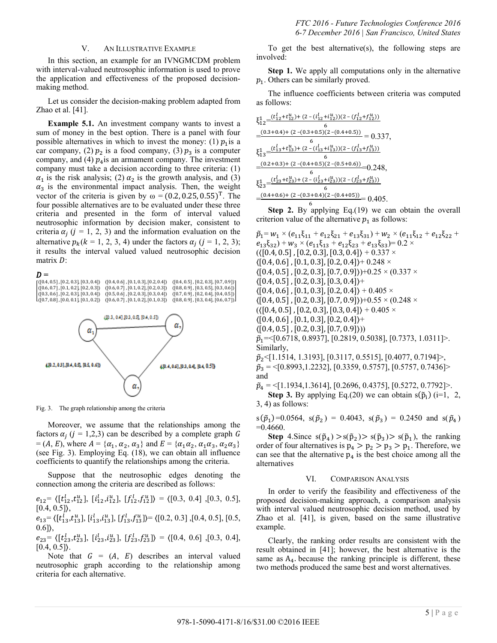## V. AN ILLUSTRATIVE EXAMPLE

In this section, an example for an IVNGMCDM problem with interval-valued neutrosophic information is used to prove the application and effectiveness of the proposed decisionmaking method.

Let us consider the decision-making problem adapted from Zhao et al. [41].

**Example 5.1.** An investment company wants to invest a sum of money in the best option. There is a panel with four possible alternatives in which to invest the money: (1)  $p_1$  is a car company, (2)  $p_2$  is a food company, (3)  $p_3$  is a computer company, and (4)  $p_4$  is an armament company. The investment company must take a decision according to three criteria: (1)  $\alpha_1$  is the risk analysis; (2)  $\alpha_2$  is the growth analysis, and (3)  $\alpha_3$  is the environmental impact analysis. Then, the weight vector of the criteria is given by  $\omega = (0.2, 0.25, 0.55)^T$ . The four possible alternatives are to be evaluated under these three criteria and presented in the form of interval valued neutrosophic information by decision maker, consistent to criteria  $\alpha_i$  ( $j = 1, 2, 3$ ) and the information evaluation on the alternative  $p_k$ ( $k = 1, 2, 3, 4$ ) under the factors  $\alpha_i$  ( $j = 1, 2, 3$ ); it results the interval valued valued neutrosophic decision matrix  $D$ :

#### $\bm{D} =$

 $\{(0.3, 0.6\}, [0.2, 0.3], [0.3, 0.4]\}\$   $\{(0.5, 0.6], [0.2, 0.3], [0.3, 0.4]\}$   $\{(0.7, 0.9], [0.2, 0.4], [0.4, 0.5]\}$ <br> $\{(0.7, 0.8], [0.0, 0.1], [0.1, 0.2]\}$   $\{(0.6, 0.7], [0.1, 0.2], [0.1, 0.3]\}$   $\{(0.8, 0.9], [0.3, 0.4], [0.6, 0.7]\}$  $\overset{\text{\normalsize\langle}}{\text{\normalsize\langle}}$ 



Fig. 3. The graph relationship among the criteria

Moreover, we assume that the relationships among the factors  $\alpha_i$  ( $j = 1,2,3$ ) can be described by a complete graph  $= (A, E)$ , where  $A = {\alpha_1, \alpha_2, \alpha_3}$  and  $E = {\alpha_1 \alpha_2, \alpha_1 \alpha_3, \alpha_2 \alpha_3}$ (see Fig. 3). Employing Eq. (18), we can obtain all influence coefficients to quantify the relationships among the criteria.

Suppose that the neutrosophic edges denoting the connection among the criteria are described as follows:

 $e_{12} = \langle [t_{12}^l, t_{12}^u], [i_{12}^l, i_{12}^u], [f_{12}^l, f_{12}^u] \rangle = \langle [0.3, 0.4], [0.3, 0.5],$  $[0.4, 0.5]$ ,

 $e_{13} = \langle [t_{13}^l, t_{13}^u], [t_{13}^l, t_{13}^u], [f_{13}^l, f_{13}^u] \rangle = \langle [0.2, 0.3], [0.4, 0.5], [0.5,$  $0.6$ ] $),$ 

 $e_{23} = \langle [t_{23}^l, t_{23}^u], [i_{23}^l, i_{23}^u], [f_{23}^l, f_{23}^u] \rangle = \langle [0.4, 0.6], [0.3, 0.4],$  $[0.4, 0.5]$ .

Note that  $G = (A, E)$  describes an interval valued neutrosophic graph according to the relationship among criteria for each alternative.

To get the best alternative(s), the following steps are involved:

**Step 1.** We apply all computations only in the alternative  $p_1$ . Others can be similarly proved.

The influence coefficients between criteria was computed as follows:

$$
\xi_{12}^{1} = \frac{(t_{12}^{1} + t_{12}^{u}) + (2 - (t_{12}^{1} + t_{12}^{u})) (2 - (f_{12}^{1} + f_{12}^{u}))}{6}
$$
  
\n
$$
\frac{-(0.3 + 0.4) + (2 - (0.3 + 0.5)(2 - (0.4 + 0.5)))}{6} = 0.337,
$$
  
\n
$$
\xi_{13}^{1} = \frac{(t_{13}^{1} + t_{13}^{u}) + (2 - (t_{13}^{1} + t_{13}^{u})) (2 - (f_{13}^{1} + f_{13}^{u}))}{6}
$$
  
\n
$$
\frac{-(0.2 + 0.3) + (2 - (0.4 + 0.5)(2 - (0.5 + 0.6)))}{6} = 0.248,
$$
  
\n
$$
\xi_{23}^{1} = \frac{(t_{23}^{1} + t_{23}^{u}) + (2 - (t_{23}^{1} + t_{23}^{u})) (2 - (f_{23}^{1} + f_{23}^{u}))}{6}
$$
  
\n
$$
\frac{-(0.4 + 0.6) + (2 - (0.3 + 0.4)(2 - (0.4 + 0.5)))}{6} = 0.405.
$$

 $\overline{a}$ 

**Step 2.** By applying Eq.(19) we can obtain the overall criterion value of the alternative  $p_1$  as follows:

 $\tilde{p}_1 = w_1 \times (e_{11}\xi_{11} + e_{12}\xi_{21} + e_{13}\xi_{31}) + w_2 \times (e_{11}\xi_{12} + e_{12}\xi_{22} +$  $(e_{13}\xi_{32}) + w_3 \times (e_{11}\xi_{13} + e_{12}\xi_{23} + e_{13}\xi_{33}) = 0.2 \times$  $(\langle [0.4, 0.5], [0.2, 0.3], [0.3, 0.4] \rangle + 0.337 \times$  $\langle [0.4, 0.6], [0.1, 0.3], [0.2, 0.4] \rangle + 0.248 \times$  $\langle [0.4, 0.5]$ ,  $[0.2, 0.3]$ ,  $[0.7, 0.9]$ )+0.25 ×  $(0.337 \times$  $\langle [0.4, 0.5], [0.2, 0.3], [0.3, 0.4] \rangle +$  $\langle [0.4, 0.6], [0.1, 0.3], [0.2, 0.4] \rangle + 0.405 \times$  $\langle [0.4, 0.5]$ ,  $[0.2, 0.3]$ ,  $[0.7, 0.9]$ )+0.55 × (0.248 ×  $({([0.4, 0.5], [0.2, 0.3], [0.3, 0.4]) + 0.405 \times$  $\langle [0.4, 0.6], [0.1, 0.3], [0.2, 0.4] \rangle$ +  $([0.4, 0.5], [0.2, 0.3], [0.7, 0.9])$  $\tilde{p}_1$ =<[0.6718, 0.8937], [0.2819, 0.5038], [0.7373, 1.0311]>. Similarly,  $\tilde{p}_2$  {[1.1514, 1.3193], [0.3117, 0.5515], [0.4077, 0.7194]>,  $\tilde{p}_3 = \{0.8993, 1.2232\}, [0.3359, 0.5757], [0.5757, 0.7436] \rangle$ and

 $\tilde{p}_4 = \{1.1934, 1.3614\}, [0.2696, 0.4375], [0.5272, 0.7792]\}$ . **Step 3.** By applying Eq.(20) we can obtain  $s(\tilde{p}_i)$  (i=1, 2, 3, 4) as follows:

$$
s(\tilde{p}_1)=0.0564
$$
,  $s(\tilde{p}_2)=0.4043$ ,  $s(\tilde{p}_3)=0.2450$  and  $s(\tilde{p}_4)=0.4660$ .

**Step** 4. Since  $s(\tilde{p}_4) > s(\tilde{p}_2) > s(\tilde{p}_3) > s(\tilde{p}_1)$ , the ranking order of four alternatives is  $p_4 > p_2 > p_3 > p_1$ . Therefore, we can see that the alternative  $p_4$  is the best choice among all the alternatives

#### VI. COMPARISON ANALYSIS

In order to verify the feasibility and effectiveness of the proposed decision-making approach, a comparison analysis with interval valued neutrosophic decision method, used by Zhao et al. [41], is given, based on the same illustrative example.

Clearly, the ranking order results are consistent with the result obtained in [41]; however, the best alternative is the same as  $A_4$  because the ranking principle is different, these two methods produced the same best and worst alternatives.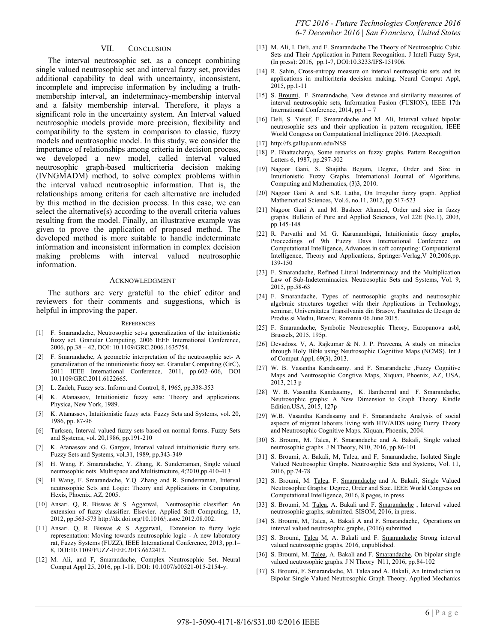## VII. CONCLUSION

The interval neutrosophic set, as a concept combining single valued neutrosophic set and interval fuzzy set, provides additional capability to deal with uncertainty, inconsistent, incomplete and imprecise information by including a truthmembership interval, an indeterminacy-membership interval and a falsity membership interval. Therefore, it plays a significant role in the uncertainty system. An Interval valued neutrosophic models provide more precision, flexibility and compatibility to the system in comparison to classic, fuzzy models and neutrosophic model. In this study, we consider the importance of relationships among criteria in decision process, we developed a new model, called interval valued neutrosophic graph-based multicriteria decision making (IVNGMADM) method, to solve complex problems within the interval valued neutrosophic information. That is, the relationships among criteria for each alternative are included by this method in the decision process. In this case, we can select the alternative(s) according to the overall criteria values resulting from the model. Finally, an illustrative example was given to prove the application of proposed method. The developed method is more suitable to handle indeterminate information and inconsistent information in complex decision making problems with interval valued neutrosophic information.

#### ACKNOWLEDGMENT

The authors are very grateful to the chief editor and reviewers for their comments and suggestions, which is helpful in improving the paper.

#### **REFERENCES**

- [1] F. Smarandache, Neutrosophic set-a generalization of the intuitionistic fuzzy set. Granular Computing, 2006 IEEE International Conference, 2006, pp.38 – 42, DOI: 10.1109/GRC.2006.1635754.
- [2] F. Smarandache, A geometric interpretation of the neutrosophic set- A generalization of the intuitionistic fuzzy set. Granular Computing (GrC), 2011 IEEE International Conference, 2011, pp.602–606, DOI 10.1109/GRC.2011.6122665.
- [3] L. Zadeh, Fuzzy sets. Inform and Control, 8, 1965, pp.338-353
- [4] K. Atanassov, Intuitionistic fuzzy sets: Theory and applications. Physica, New York, 1989.
- [5] K. Atanassov, Intuitionistic fuzzy sets. Fuzzy Sets and Systems, vol. 20, 1986, pp. 87-96
- [6] Turksen, Interval valued fuzzy sets based on normal forms. Fuzzy Sets and Systems, vol. 20,1986, pp.191-210
- [7] K. Atanassov and G. Gargov, Interval valued intuitionistic fuzzy sets. Fuzzy Sets and Systems, vol.31, 1989, pp.343-349
- [8] H. Wang, F. Smarandache, Y. Zhang, R. Sunderraman, Single valued neutrosophic nets. Multispace and Multistructure, 4;2010,pp.410-413
- [9] H Wang, F. Smarandache, Y.Q .Zhang and R. Sunderraman, Interval neutrosophic Sets and Logic: Theory and Applications in Computing. Hexis, Phoenix, AZ, 2005.
- [10] Ansari. Q, R. Biswas & S. Aggarwal, Neutrosophic classifier: An extension of fuzzy classifier. Elsevier. Applied Soft Computing, 13, 2012, pp.563-573 http://dx.doi.org/10.1016/j.asoc.2012.08.002.
- [11] Ansari. Q, R. Biswas & S. Aggarwal, Extension to fuzzy logic representation: Moving towards neutrosophic logic - A new laboratory rat, Fuzzy Systems (FUZZ), IEEE International Conference, 2013, pp.1– 8, DOI:10.1109/FUZZ-IEEE.2013.6622412.
- [12] M. Ali, and F, Smarandache, Complex Neutrosophic Set. Neural Comput Appl 25, 2016, pp.1-18. DOI: 10.1007/s00521-015-2154-y.
- [13] M. Ali, I. Deli, and F. Smarandache The Theory of Neutrosophic Cubic Sets and Their Application in Pattern Recognition. J Intell Fuzzy Syst, (In press): 2016, pp.1-7, DOI:10.3233/IFS-151906.
- [14] R. Şahin, Cross-entropy measure on interval neutrosophic sets and its applications in multicriteria decision making. Neural Comput Appl, 2015, pp.1-11
- [15] S. [Broumi,](http://ieeexplore.ieee.org/search/searchresult.jsp?searchWithin=%22Authors%22:.QT.Broumi%2C%20S..QT.&newsearch=true) F. Smarandache, New distance and similarity measures of interval neutrosophic sets, Information Fusion (FUSION), IEEE 17th International Conference, 2014, pp.1 – 7
- [16] Deli, S. Yusuf, F. Smarandache and M. Ali, Interval valued bipolar neutrosophic sets and their application in pattern recognition, IEEE World Congress on Computational Intelligence 2016. (Accepted).
- [17] http://fs.gallup.unm.edu/NSS
- [18] P. Bhattacharya, Some remarks on fuzzy graphs. Pattern Recognition Letters 6, 1987, pp.297-302
- [19] Nagoor Gani, S. Shajitha Begum, Degree, Order and Size in Intuitionistic Fuzzy Graphs. International Journal of Algorithms, Computing and Mathematics, (3)3, 2010.
- [20] Nagoor Gani A and S.R. Latha, On Irregular fuzzy graph. Applied Mathematical Sciences, Vol.6, no.11, 2012, pp.517-523
- [21] Nagoor Gani A and M. Basheer Ahamed, Order and size in fuzzy graphs. Bulletin of Pure and Applied Sciences, Vol 22E (No.1), 2003, pp.145-148
- [22] R. Parvathi and M. G. Karunambigai, Intuitionistic fuzzy graphs, Proceedings of 9th Fuzzy Days International Conference on Computational Intelligence, Advances in soft computing: Computational Intelligence, Theory and Applications, Springer-Verlag,V 20,2006,pp. 139-150
- [23] F. Smarandache, Refined Literal Indeterminacy and the Multiplication Law of Sub-Indeterminacies. Neutrosophic Sets and Systems, Vol. 9, 2015, pp.58-63
- [24] F. Smarandache, Types of neutrosophic graphs and neutrosophic algebraic structures together with their Applications in Technology, seminar, Universitatea Transilvania din Brasov, Facultatea de Design de Produs si Mediu, Brasov, Romania 06 June 2015.
- [25] F. Smarandache, Symbolic Neutrosophic Theory, Europanova asbl, Brussels, 2015, 195p.
- [26] Devadoss. V, A. Rajkumar & N. J. P. Praveena, A study on miracles through Holy Bible using Neutrosophic Cognitive Maps (NCMS). Int J of Comput Appl, 69(3), 2013.
- [27] W. B. [Vasantha Kandasamy.](http://www.amazon.com/s/ref=dp_byline_sr_ebooks_1?ie=UTF8&text=W.+B.+Vasantha+Kandasamy&search-alias=digital-text&field-author=W.+B.+Vasantha+Kandasamy&sort=relevancerank) and F. Smarandache ,Fuzzy Cognitive Maps and Neutrosophic Congtive Maps, Xiquan, Phoenix, AZ, USA, 2013, 213 p
- [28] [W. B. Vasantha Kandasamy,](http://www.amazon.com/s/ref=dp_byline_sr_ebooks_1?ie=UTF8&text=W.+B.+Vasantha+Kandasamy&search-alias=digital-text&field-author=W.+B.+Vasantha+Kandasamy&sort=relevancerank) [K. Ilanthenral](http://www.amazon.com/s/ref=dp_byline_sr_ebooks_2?ie=UTF8&text=K.+Ilanthenral&search-alias=digital-text&field-author=K.+Ilanthenral&sort=relevancerank) and F. Smarandache, Neutrosophic graphs: A New Dimension to Graph Theory. Kindle Edition.USA, 2015, 127p
- [29] W.B. Vasantha Kandasamy and F. Smarandache Analysis of social aspects of migrant laborers living with HIV/AIDS using Fuzzy Theory and Neutrosophic Cognitive Maps. Xiquan, Phoenix, 2004.
- [30] S. Broumi, M. [Talea,](http://ieeexplore.ieee.org/search/searchresult.jsp?searchWithin=%22Authors%22:.QT.Broumi%2C%20S..QT.&newsearch=true) F. [Smarandache](http://ieeexplore.ieee.org/search/searchresult.jsp?searchWithin=%22Authors%22:.QT.Smarandache%2C%20F..QT.&newsearch=true) and A. Bakali, Single valued neutrosophic graphs. J N Theory, N10, 2016, pp.86-101
- [31] S. Broumi, A. Bakali, M, Talea, and F, Smarandache, Isolated Single Valued Neutrosophic Graphs. Neutrosophic Sets and Systems, Vol. 11, 2016, pp.74-78
- [32] S. Broumi, M. [Talea,](http://ieeexplore.ieee.org/search/searchresult.jsp?searchWithin=%22Authors%22:.QT.Broumi%2C%20S..QT.&newsearch=true) F. [Smarandache](http://ieeexplore.ieee.org/search/searchresult.jsp?searchWithin=%22Authors%22:.QT.Smarandache%2C%20F..QT.&newsearch=true) and A. Bakali, Single Valued Neutrosophic Graphs: Degree, Order and Size. IEEE World Congress on Computational Intelligence, 2016, 8 pages, in press
- [33] S. Broumi, M. [Talea,](http://ieeexplore.ieee.org/search/searchresult.jsp?searchWithin=%22Authors%22:.QT.Broumi%2C%20S..QT.&newsearch=true) A. Bakali and F. Smarandache, Interval valued neutrosophic graphs, submitted. SISOM, 2016, in press.
- [34] S. Broumi, M, [Talea,](http://ieeexplore.ieee.org/search/searchresult.jsp?searchWithin=%22Authors%22:.QT.Broumi%2C%20S..QT.&newsearch=true) A. Bakali A and F. [Smarandache,](http://ieeexplore.ieee.org/search/searchresult.jsp?searchWithin=%22Authors%22:.QT.Smarandache%2C%20F..QT.&newsearch=true) Operations on interval valued neutrosophic graphs, (2016) submitted.
- [35] S. Broumi, [Talea](http://ieeexplore.ieee.org/search/searchresult.jsp?searchWithin=%22Authors%22:.QT.Broumi%2C%20S..QT.&newsearch=true) M, A. Bakali and F. [Smarandache](http://ieeexplore.ieee.org/search/searchresult.jsp?searchWithin=%22Authors%22:.QT.Smarandache%2C%20F..QT.&newsearch=true) Strong interval valued neutrosophic graphs, 2016, unpublished.
- [36] S. Broumi, M. [Talea,](http://ieeexplore.ieee.org/search/searchresult.jsp?searchWithin=%22Authors%22:.QT.Broumi%2C%20S..QT.&newsearch=true) A. Bakali and F. [Smarandache,](http://ieeexplore.ieee.org/search/searchresult.jsp?searchWithin=%22Authors%22:.QT.Smarandache%2C%20F..QT.&newsearch=true) On bipolar single valued neutrosophic graphs. J N Theory N11, 2016, pp.84-102
- [37] S. Broumi, F. Smarandache, M. Talea and A. Bakali, An Introduction to Bipolar Single Valued Neutrosophic Graph Theory. Applied Mechanics